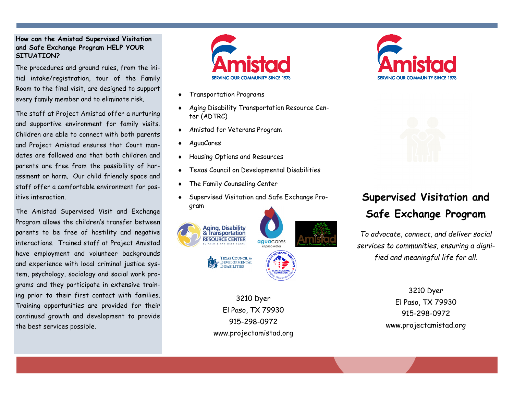# **How can the Amistad Supervised Visitation and Safe Exchange Program HELP YOUR SITUATION?**

The procedures and ground rules, from the initial intake/registration, tour of the Family Room to the final visit, are designed to support every family member and to eliminate risk.

The staff at Project Amistad offer a nurturing and supportive environment for family visits. Children are able to connect with both parents and Project Amistad ensures that Court mandates are followed and that both children and parents are free from the possibility of harassment or harm. Our child friendly space and staff offer a comfortable environment for positive interaction.

The Amistad Supervised Visit and Exchange Program allows the children's transfer between parents to be free of hostility and negative interactions. Trained staff at Project Amistad have employment and volunteer backgrounds and experience with local criminal justice system, psychology, sociology and social work programs and they participate in extensive training prior to their first contact with families. Training opportunities are provided for their continued growth and development to provide the best services possible.



- Transportation Programs
- Aging Disability Transportation Resource Center (ADTRC)
- Amistad for Veterans Program
- AguaCares
- Housing Options and Resources
- Texas Council on Developmental Disabilities
- The Family Counseling Center
- Supervised Visitation and Safe Exchange Program



3210 Dyer El Paso, TX 79930 915-298-0972 www.projectamistad.org





# **Supervised Visitation and Safe Exchange Program**

*To advocate, connect, and deliver social services to communities, ensuring a dignified and meaningful life for all.*

> 3210 Dyer El Paso, TX 79930 915-298-0972 www.projectamistad.org